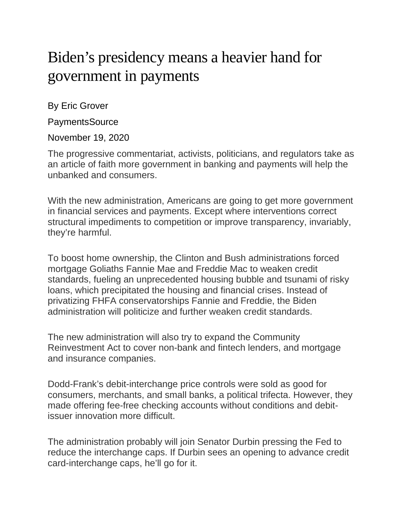## Biden's presidency means a heavier hand for government in payments

By Eric Grover

**PaymentsSource** 

November 19, 2020

The progressive commentariat, activists, politicians, and regulators take as an article of faith more government in banking and payments will help the unbanked and consumers.

With the new administration, Americans are going to get more government in financial services and payments. Except where interventions correct structural impediments to competition or improve transparency, invariably, they're harmful.

To boost home ownership, the Clinton and Bush administrations forced mortgage Goliaths Fannie Mae and Freddie Mac to weaken credit standards, fueling an unprecedented housing bubble and tsunami of risky loans, which precipitated the housing and financial crises. Instead of privatizing FHFA conservatorships Fannie and Freddie, the Biden administration will politicize and further weaken credit standards.

The new administration will also try to expand the Community Reinvestment Act to cover non-bank and fintech lenders, and mortgage and insurance companies.

Dodd-Frank's debit-interchange price controls were sold as good for consumers, merchants, and small banks, a political trifecta. However, they made offering fee-free checking accounts without conditions and debitissuer innovation more difficult.

The administration probably will join Senator Durbin pressing the Fed to reduce the interchange caps. If Durbin sees an opening to advance credit card-interchange caps, he'll go for it.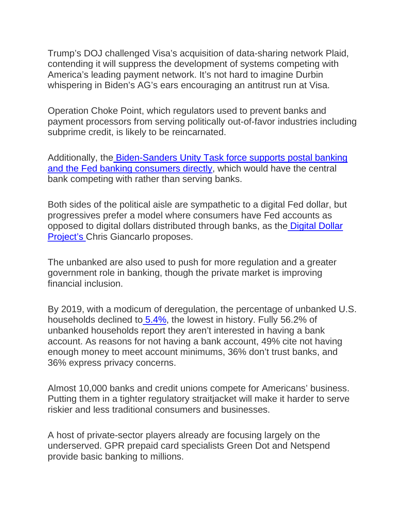Trump's DOJ challenged Visa's acquisition of data-sharing network Plaid, contending it will suppress the development of systems competing with America's leading payment network. It's not hard to imagine Durbin whispering in Biden's AG's ears encouraging an antitrust run at Visa.

Operation Choke Point, which regulators used to prevent banks and payment processors from serving politically out-of-favor industries including subprime credit, is likely to be reincarnated.

Additionally, the [Biden-Sanders Unity Task force supports postal banking](https://joebiden.com/wp-content/uploads/2020/08/UNITY-TASK-FORCE-RECOMMENDATIONS.pdf) [and the Fed banking consumers directly,](https://joebiden.com/wp-content/uploads/2020/08/UNITY-TASK-FORCE-RECOMMENDATIONS.pdf) which would have the central bank competing with rather than serving banks.

Both sides of the political aisle are sympathetic to a digital Fed dollar, but progressives prefer a model where consumers have Fed accounts as opposed to digital dollars distributed through banks, as the [Digital Dollar](https://www.digitaldollarproject.org/)  [Project's](https://www.digitaldollarproject.org/) Chris Giancarlo proposes.

The unbanked are also used to push for more regulation and a greater government role in banking, though the private market is improving financial inclusion.

By 2019, with a modicum of deregulation, the percentage of unbanked U.S. households declined to [5.4%,](https://www.fdic.gov/analysis/household-survey/2019report.pdf) the lowest in history. Fully 56.2% of unbanked households report they aren't interested in having a bank account. As reasons for not having a bank account, 49% cite not having enough money to meet account minimums, 36% don't trust banks, and 36% express privacy concerns.

Almost 10,000 banks and credit unions compete for Americans' business. Putting them in a tighter regulatory straitjacket will make it harder to serve riskier and less traditional consumers and businesses.

A host of private-sector players already are focusing largely on the underserved. GPR prepaid card specialists Green Dot and Netspend provide basic banking to millions.